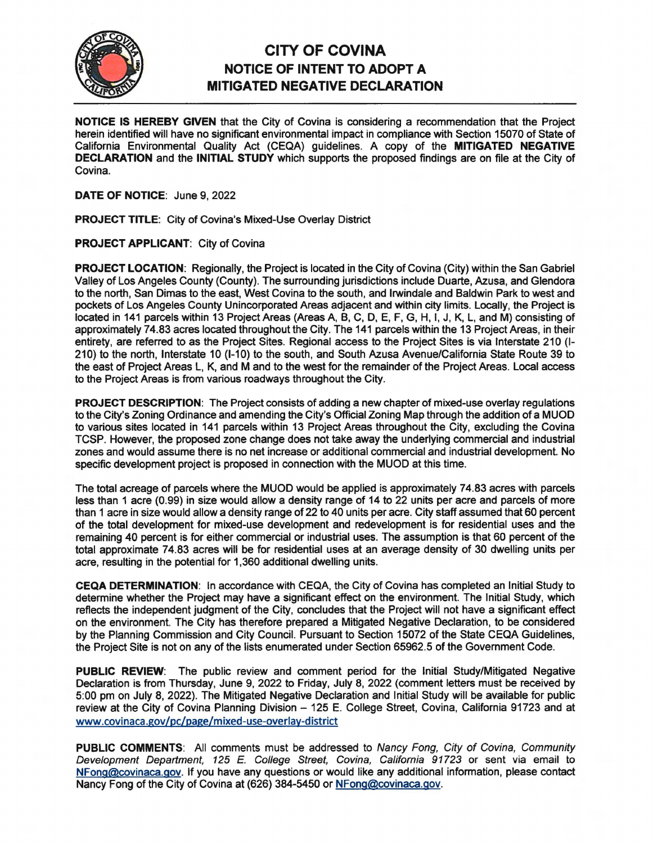

## **CITY OF COVINA NOTICE OF INTENT TO ADOPT A MITIGATED NEGATIVE DECLARATION**

**NOTICE IS HEREBY GIVEN** that the City of Covina is considering a recommendation that the Project herein identified will have no significant environmental impact in compliance with Section 15070 of State of California Environmental Quality Act {CEQA) guidelines. A copy of the **MITIGATED NEGATIVE DECLARATION** and the **INITIAL STUDY** which supports the proposed findings are on file at the City of Covina.

**DATE OF NOTICE:** June 9, 2022

**PROJECT TITLE:** City of Covina's Mixed-Use Overlay District

**PROJECT APPLICANT:** City of Covina

**PROJECT LOCATION:** Regionally, the Project is located in the City of Covina {City) within the San Gabriel Valley of Los Angeles County {County). The surrounding jurisdictions include Duarte, Azusa, and Glendora to the north, San Dimas to the east, West Covina to the south, and Irwindale and Baldwin Park to west and pockets of Los Angeles County Unincorporated Areas adjacent and within city limits. Locally, the Project is located in 141 parcels within 13 Project Areas {Areas A, B, C, D, E, F, G, H, I, J, K, L, and M) consisting of approximately 74.83 acres located throughout the City. The 141 parcels within the 13 Project Areas, in their entirety, are referred to as the Project Sites. Regional access to the Project Sites is via Interstate 210 (1- 210} to the north, Interstate 10 (1-10} to the south, and South Azusa Avenue/California State Route 39 to the east of Project Areas L, K, and M and to the west for the remainder of the Project Areas. Local access to the Project Areas is from various roadways throughout the City.

**PROJECT DESCRIPTION:** The Project consists of adding a new chapter of mixed-use overlay regulations to the City's Zoning Ordinance and amending the City's Official Zoning Map through the addition of a MUOD to various sites located in 141 parcels within 13 Project Areas throughout the City, excluding the Covina TCSP. However, the proposed zone change does not take away the underlying commercial and industrial zones and would assume there is no net increase or additional commercial and industrial development. No specific development project is proposed in connection with the MUOD at this time.

The total acreage of parcels where the MUOD would be applied is approximately 74.83 acres with parcels less than 1 acre (0.99) in size would allow a density range of 14 to 22 units per acre and parcels of more than 1 acre in size would allow a density range of 22 to 40 units per acre. City staff assumed that 60 percent of the total development for mixed-use development and redevelopment is for residential uses and the remaining 40 percent is for either commercial or industrial uses. The assumption is that 60 percent of the total approximate 74.83 acres will be for residential uses at an average density of 30 dwelling units per acre, resulting in the potential for 1,360 additional dwelling units.

**CEQA DETERMINATION:** In accordance with CEQA, the City of Covina has completed an Initial Study to determine whether the Project may have a significant effect on the environment. The Initial Study, which reflects the independent judgment of the City, concludes that the Project will not have a significant effect on the environment. The City has therefore prepared a Mitigated Negative Declaration, to be considered by the Planning Commission and City Council. Pursuant to Section 15072 of the State CEQA Guidelines, the Project Site is not on any of the lists enumerated under Section 65962.5 of the Government Code.

**PUBLIC REVIEW:** The public review and comment period for the Initial Study/Mitigated Negative Declaration is from Thursday, June 9, 2022 to Friday, July 8, 2022 {comment letters must be received by 5:00 pm on July 8, 2022). The Mitigated Negative Declaration and Initial Study will be available for public review at the City of Covina Planning Division - 125 E. College Street, Covina, California 91723 and at www.covinaca.gov/pc/page/mixed-use-overlay-district

**PUBLIC COMMENTS:** All comments must be addressed to Nancy Fong, City of Covina, Community Development Department, 125 E. College Street, Covina, California 91723 or sent via email to NFong@covinaca.gov. If you have any questions or would like any additional information, please contact Nancy Fong of the City of Covina at (626} 384-5450 or NFong@covinaca.gov.